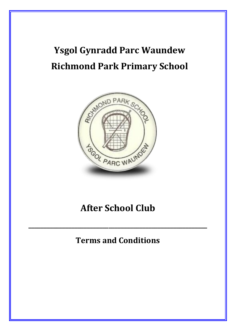# **Ysgol Gynradd Parc Waundew Richmond Park Primary School**



## **After School Club**

### **Terms and Conditions**

**\_\_\_\_\_\_\_\_\_\_\_\_\_\_\_\_\_\_\_\_\_\_\_\_\_\_\_\_\_\_\_\_\_\_\_\_\_\_\_\_\_\_\_\_\_\_\_\_\_\_\_\_\_\_\_\_\_\_**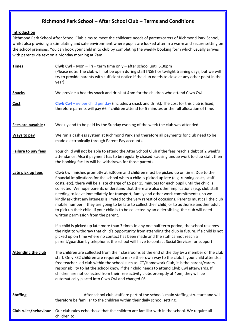### **Richmond Park School – After School Club – Terms and Conditions**

#### **Introduction**

Richmond Park School After School Club aims to meet the childcare needs of parent/carers of Richmond Park School, whilst also providing a stimulating and safe environment where pupils are looked after in a warm and secure setting on the school premises. You can book your child in to club by completing the weekly booking form which usually arrives with parents via text on a Monday morning at 7am.

| <b>Times</b>              | Clwb Cwl - Mon - Fri - term time only - after school until 5.30pm<br>(Please note: The club will not be open during staff INSET or twilight training days, but we will<br>try to provide parents with sufficient notice if the club needs to close at any other point in the<br>year).                                                                                                                                                                                                                                                                                                                                                                                                                                                                                                                                                        |
|---------------------------|-----------------------------------------------------------------------------------------------------------------------------------------------------------------------------------------------------------------------------------------------------------------------------------------------------------------------------------------------------------------------------------------------------------------------------------------------------------------------------------------------------------------------------------------------------------------------------------------------------------------------------------------------------------------------------------------------------------------------------------------------------------------------------------------------------------------------------------------------|
| <b>Snacks</b>             | We provide a healthy snack and drink at 4pm for the children who attend Clwb Cwl.                                                                                                                                                                                                                                                                                                                                                                                                                                                                                                                                                                                                                                                                                                                                                             |
| <b>Cost</b>               | Clwb Cwl $-$ £6 per child per day (includes a snack and drink). The cost for this club is fixed,<br>therefore parents will pay £6 if children attend for 5 minutes or the full allocation of time.                                                                                                                                                                                                                                                                                                                                                                                                                                                                                                                                                                                                                                            |
| Fees are payable :        | Weekly and to be paid by the Sunday evening of the week the club was attended.                                                                                                                                                                                                                                                                                                                                                                                                                                                                                                                                                                                                                                                                                                                                                                |
| Ways to pay               | We run a cashless system at Richmond Park and therefore all payments for club need to be<br>made electronically through Parent Pay accounts.                                                                                                                                                                                                                                                                                                                                                                                                                                                                                                                                                                                                                                                                                                  |
| Failure to pay fees       | Your child will not be able to attend the After School Club if the fees reach a debt of 2 week's<br>attendance. Also if payment has to be regularly chased causing undue work to club staff, then<br>the booking facility will be withdrawn for those parents.                                                                                                                                                                                                                                                                                                                                                                                                                                                                                                                                                                                |
| Late pick up fees         | Clwb Cwl finishes promptly at 5.30pm and children must be picked up on time. Due to the<br>financial implications for the school when a child is picked up late (e.g. running costs, staff<br>costs, etc), there will be a late charge of £5 per 15 minutes for each pupil until the child is<br>collected. We hope parents understand that there are also other implications (e.g. club staff<br>needing to leave immediately for transport, family and other work commitments), so we<br>kindly ask that any lateness is limited to the very rarest of occasions. Parents must call the club<br>mobile number if they are going to be late to collect their child, or to authorise another adult<br>to pick up their child. If your child is to be collected by an older sibling, the club will need<br>written permission from the parent. |
|                           | If a child is picked up late more than 3 times in any one half term period, the school reserves<br>the right to withdraw that child's opportunity from attending the club in future. If a child is not<br>picked up on time where no contact has been made and the staff cannot reach a<br>parent/guardian by telephone, the school will have to contact Social Services for support.                                                                                                                                                                                                                                                                                                                                                                                                                                                         |
| <b>Attending the club</b> | The children are collected from their classrooms at the end of the day by a member of the club<br>staff. Only KS2 children are required to make their own way to the club. If your child attends a<br>free teacher-led club within the school such as ICT/Homework Club, it is the parent/carers<br>responsibility to let the school know if their child needs to attend Clwb Cwl afterwards. If<br>children are not collected from their free activity clubs promptly at 4pm, they will be<br>automatically placed into Clwb Cwl and charged £6.                                                                                                                                                                                                                                                                                             |
| <b>Staffing</b>           | After school club staff are part of the school's main staffing structure and will<br>therefore be familiar to the children within their daily school setting.                                                                                                                                                                                                                                                                                                                                                                                                                                                                                                                                                                                                                                                                                 |
| Club rules/behaviour      | Our club rules echo those that the children are familiar with in the school. We require all<br>children to:                                                                                                                                                                                                                                                                                                                                                                                                                                                                                                                                                                                                                                                                                                                                   |